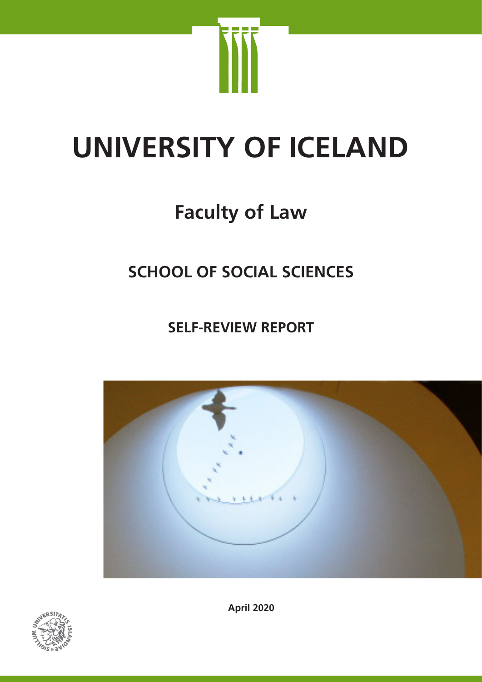

# **UNIVERSITY OF ICELAND**

# **Faculty of Law**

# **SCHOOL OF SOCIAL SCIENCES**

**SELF-REVIEW REPORT**





**April 2020**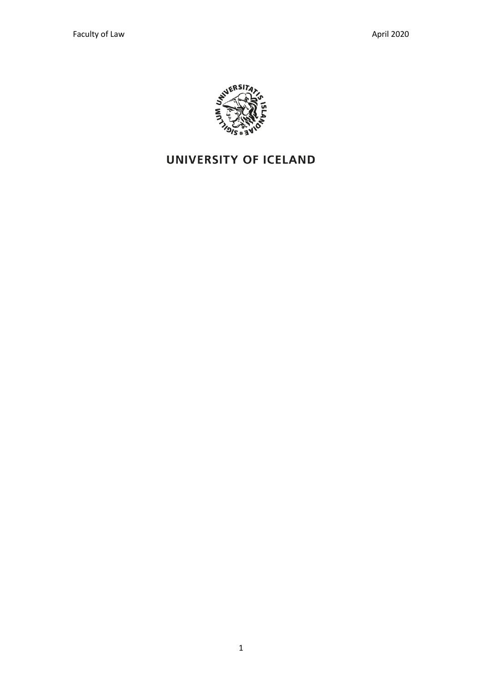

# **UNIVERSITY OF ICELAND**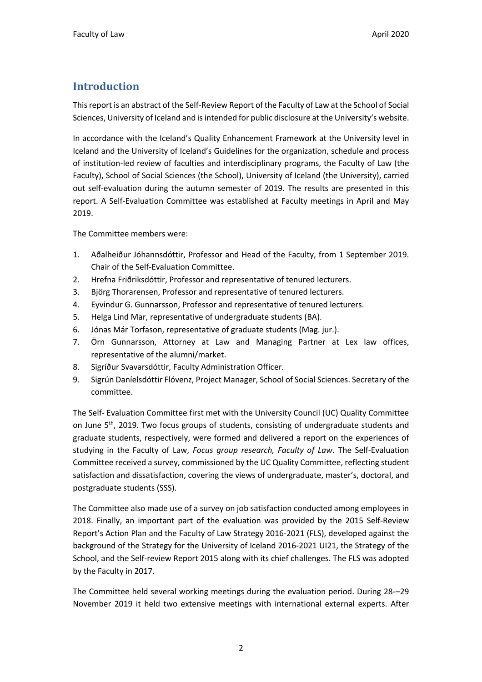### **Introduction**

This report is an abstract of the Self-Review Report of the Faculty of Law at the School of Social Sciences, University of Iceland and is intended for public disclosure at the University's website.

In accordance with the Iceland's Quality Enhancement Framework at the University level in Iceland and the University of Iceland's Guidelines for the organization, schedule and process of institution-led review of faculties and interdisciplinary programs, the Faculty of Law (the Faculty), School of Social Sciences (the School), University of Iceland (the University), carried out self-evaluation during the autumn semester of 2019. The results are presented in this report. A Self-Evaluation Committee was established at Faculty meetings in April and May 2019.

The Committee members were:

- 1. Aðalheiður Jóhannsdóttir, Professor and Head of the Faculty, from 1 September 2019. Chair of the Self-Evaluation Committee.
- 2. Hrefna Friðriksdóttir, Professor and representative of tenured lecturers.
- 3. Björg Thorarensen, Professor and representative of tenured lecturers.
- 4. Eyvindur G. Gunnarsson, Professor and representative of tenured lecturers.
- 5. Helga Lind Mar, representative of undergraduate students (BA).
- 6. Jónas Már Torfason, representative of graduate students (Mag. jur.).
- 7. Örn Gunnarsson, Attorney at Law and Managing Partner at Lex law offices, representative of the alumni/market.
- 8. Sigríður Svavarsdóttir, Faculty Administration Officer.
- 9. Sigrún Daníelsdóttir Flóvenz, Project Manager, School of Social Sciences. Secretary of the committee.

The Self- Evaluation Committee first met with the University Council (UC) Quality Committee on June 5<sup>th</sup>, 2019. Two focus groups of students, consisting of undergraduate students and graduate students, respectively, were formed and delivered a report on the experiences of studying in the Faculty of Law, *Focus group research, Faculty of Law*. The Self-Evaluation Committee received a survey, commissioned by the UC Quality Committee, reflecting student satisfaction and dissatisfaction, covering the views of undergraduate, master's, doctoral, and postgraduate students (SSS).

The Committee also made use of a survey on job satisfaction conducted among employees in 2018. Finally, an important part of the evaluation was provided by the 2015 Self-Review Report's Action Plan and the Faculty of Law Strategy 2016-2021 (FLS), developed against the background of the Strategy for the University of Iceland 2016-2021 UI21, the Strategy of the School, and the Self-review Report 2015 along with its chief challenges. The FLS was adopted by the Faculty in 2017.

The Committee held several working meetings during the evaluation period. During 28-–29 November 2019 it held two extensive meetings with international external experts. After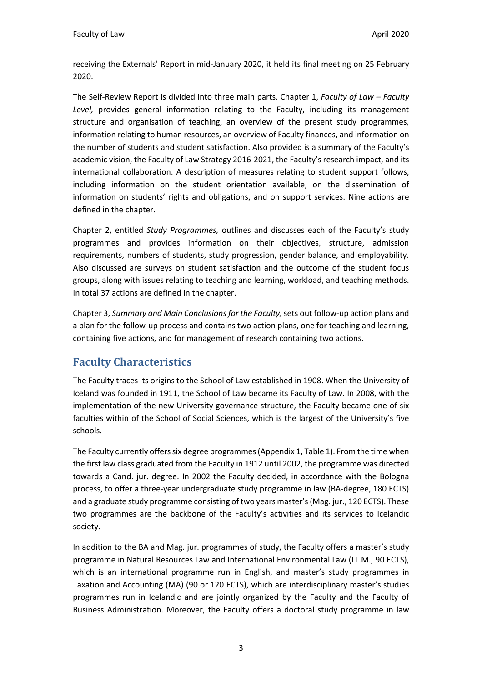receiving the Externals' Report in mid-January 2020, it held its final meeting on 25 February 2020.

The Self-Review Report is divided into three main parts. Chapter 1, *Faculty of Law – Faculty*  Level, provides general information relating to the Faculty, including its management structure and organisation of teaching, an overview of the present study programmes, information relating to human resources, an overview of Faculty finances, and information on the number of students and student satisfaction. Also provided is a summary of the Faculty's academic vision, the Faculty of Law Strategy 2016-2021, the Faculty's research impact, and its international collaboration. A description of measures relating to student support follows, including information on the student orientation available, on the dissemination of information on students' rights and obligations, and on support services. Nine actions are defined in the chapter.

Chapter 2, entitled *Study Programmes,* outlines and discusses each of the Faculty's study programmes and provides information on their objectives, structure, admission requirements, numbers of students, study progression, gender balance, and employability. Also discussed are surveys on student satisfaction and the outcome of the student focus groups, along with issues relating to teaching and learning, workload, and teaching methods. In total 37 actions are defined in the chapter.

Chapter 3, *Summary and Main Conclusions for the Faculty,* sets out follow-up action plans and a plan for the follow-up process and contains two action plans, one for teaching and learning, containing five actions, and for management of research containing two actions.

#### **Faculty Characteristics**

The Faculty traces its origins to the School of Law established in 1908. When the University of Iceland was founded in 1911, the School of Law became its Faculty of Law. In 2008, with the implementation of the new University governance structure, the Faculty became one of six faculties within of the School of Social Sciences, which is the largest of the University's five schools.

The Faculty currently offers six degree programmes (Appendix 1, Table 1). From the time when the first law class graduated from the Faculty in 1912 until 2002, the programme was directed towards a Cand. jur. degree. In 2002 the Faculty decided, in accordance with the Bologna process, to offer a three-year undergraduate study programme in law (BA-degree, 180 ECTS) and a graduate study programme consisting of two years master's (Mag. jur., 120 ECTS). These two programmes are the backbone of the Faculty's activities and its services to Icelandic society.

In addition to the BA and Mag. jur. programmes of study, the Faculty offers a master's study programme in Natural Resources Law and International Environmental Law (LL.M., 90 ECTS), which is an international programme run in English, and master's study programmes in Taxation and Accounting (MA) (90 or 120 ECTS), which are interdisciplinary master's studies programmes run in Icelandic and are jointly organized by the Faculty and the Faculty of Business Administration. Moreover, the Faculty offers a doctoral study programme in law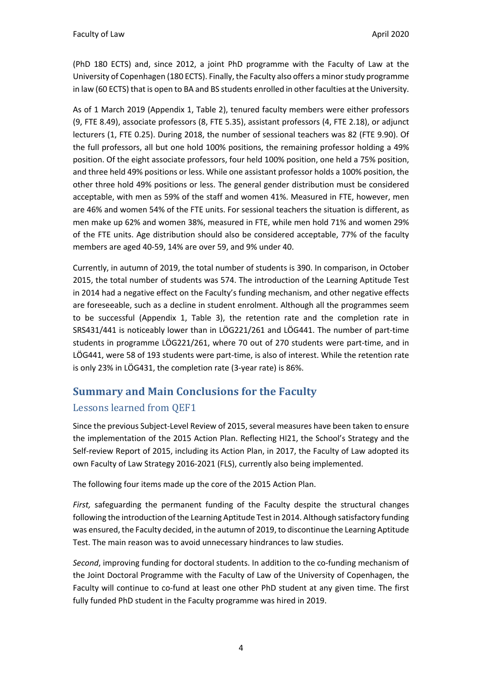(PhD 180 ECTS) and, since 2012, a joint PhD programme with the Faculty of Law at the University of Copenhagen (180 ECTS). Finally, the Faculty also offers a minor study programme in law (60 ECTS) that is open to BA and BS students enrolled in other faculties at the University.

As of 1 March 2019 (Appendix 1, Table 2), tenured faculty members were either professors (9, FTE 8.49), associate professors (8, FTE 5.35), assistant professors (4, FTE 2.18), or adjunct lecturers (1, FTE 0.25). During 2018, the number of sessional teachers was 82 (FTE 9.90). Of the full professors, all but one hold 100% positions, the remaining professor holding a 49% position. Of the eight associate professors, four held 100% position, one held a 75% position, and three held 49% positions or less. While one assistant professor holds a 100% position, the other three hold 49% positions or less. The general gender distribution must be considered acceptable, with men as 59% of the staff and women 41%. Measured in FTE, however, men are 46% and women 54% of the FTE units. For sessional teachers the situation is different, as men make up 62% and women 38%, measured in FTE, while men hold 71% and women 29% of the FTE units. Age distribution should also be considered acceptable, 77% of the faculty members are aged 40-59, 14% are over 59, and 9% under 40.

Currently, in autumn of 2019, the total number of students is 390. In comparison, in October 2015, the total number of students was 574. The introduction of the Learning Aptitude Test in 2014 had a negative effect on the Faculty's funding mechanism, and other negative effects are foreseeable, such as a decline in student enrolment. Although all the programmes seem to be successful (Appendix 1, Table 3), the retention rate and the completion rate in SRS431/441 is noticeably lower than in LÖG221/261 and LÖG441. The number of part-time students in programme LÖG221/261, where 70 out of 270 students were part-time, and in LÖG441, were 58 of 193 students were part-time, is also of interest. While the retention rate is only 23% in LÖG431, the completion rate (3-year rate) is 86%.

### **Summary and Main Conclusions for the Faculty**

#### Lessons learned from QEF1

Since the previous Subject-Level Review of 2015, several measures have been taken to ensure the implementation of the 2015 Action Plan. Reflecting HI21, the School's Strategy and the Self-review Report of 2015, including its Action Plan, in 2017, the Faculty of Law adopted its own Faculty of Law Strategy 2016-2021 (FLS), currently also being implemented.

The following four items made up the core of the 2015 Action Plan.

*First,* safeguarding the permanent funding of the Faculty despite the structural changes following the introduction of the Learning Aptitude Test in 2014. Although satisfactory funding was ensured, the Faculty decided, in the autumn of 2019, to discontinue the Learning Aptitude Test. The main reason was to avoid unnecessary hindrances to law studies.

*Second*, improving funding for doctoral students. In addition to the co-funding mechanism of the Joint Doctoral Programme with the Faculty of Law of the University of Copenhagen, the Faculty will continue to co-fund at least one other PhD student at any given time. The first fully funded PhD student in the Faculty programme was hired in 2019.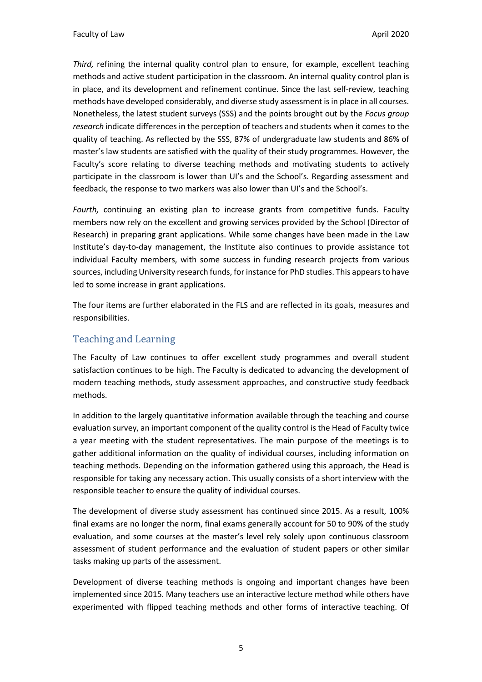*Third,* refining the internal quality control plan to ensure, for example, excellent teaching methods and active student participation in the classroom. An internal quality control plan is in place, and its development and refinement continue. Since the last self-review, teaching methods have developed considerably, and diverse study assessment is in place in all courses. Nonetheless, the latest student surveys (SSS) and the points brought out by the *Focus group research* indicate differences in the perception of teachers and students when it comes to the quality of teaching. As reflected by the SSS, 87% of undergraduate law students and 86% of master's law students are satisfied with the quality of their study programmes. However, the Faculty's score relating to diverse teaching methods and motivating students to actively participate in the classroom is lower than UI's and the School's. Regarding assessment and feedback, the response to two markers was also lower than UI's and the School's.

*Fourth,* continuing an existing plan to increase grants from competitive funds. Faculty members now rely on the excellent and growing services provided by the School (Director of Research) in preparing grant applications. While some changes have been made in the Law Institute's day-to-day management, the Institute also continues to provide assistance tot individual Faculty members, with some success in funding research projects from various sources, including University research funds, for instance for PhD studies. This appears to have led to some increase in grant applications.

The four items are further elaborated in the FLS and are reflected in its goals, measures and responsibilities.

#### Teaching and Learning

The Faculty of Law continues to offer excellent study programmes and overall student satisfaction continues to be high. The Faculty is dedicated to advancing the development of modern teaching methods, study assessment approaches, and constructive study feedback methods.

In addition to the largely quantitative information available through the teaching and course evaluation survey, an important component of the quality control is the Head of Faculty twice a year meeting with the student representatives. The main purpose of the meetings is to gather additional information on the quality of individual courses, including information on teaching methods. Depending on the information gathered using this approach, the Head is responsible for taking any necessary action. This usually consists of a short interview with the responsible teacher to ensure the quality of individual courses.

The development of diverse study assessment has continued since 2015. As a result, 100% final exams are no longer the norm, final exams generally account for 50 to 90% of the study evaluation, and some courses at the master's level rely solely upon continuous classroom assessment of student performance and the evaluation of student papers or other similar tasks making up parts of the assessment.

Development of diverse teaching methods is ongoing and important changes have been implemented since 2015. Many teachers use an interactive lecture method while others have experimented with flipped teaching methods and other forms of interactive teaching. Of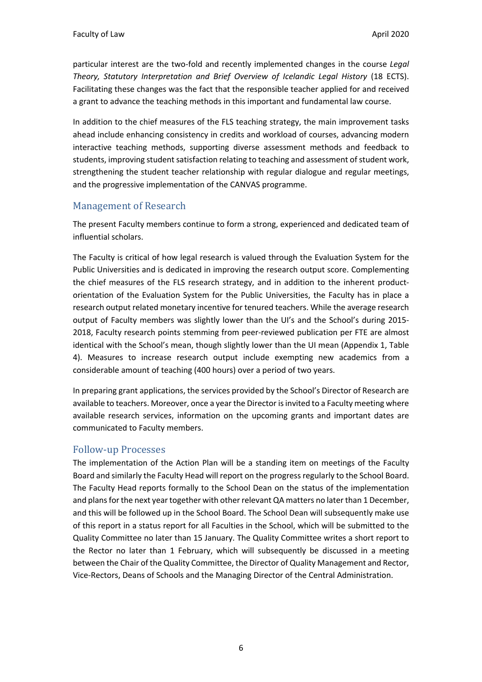particular interest are the two-fold and recently implemented changes in the course *Legal Theory, Statutory Interpretation and Brief Overview of Icelandic Legal History* (18 ECTS). Facilitating these changes was the fact that the responsible teacher applied for and received a grant to advance the teaching methods in this important and fundamental law course.

In addition to the chief measures of the FLS teaching strategy, the main improvement tasks ahead include enhancing consistency in credits and workload of courses, advancing modern interactive teaching methods, supporting diverse assessment methods and feedback to students, improving student satisfaction relating to teaching and assessment of student work, strengthening the student teacher relationship with regular dialogue and regular meetings, and the progressive implementation of the CANVAS programme.

#### Management of Research

The present Faculty members continue to form a strong, experienced and dedicated team of influential scholars.

The Faculty is critical of how legal research is valued through the Evaluation System for the Public Universities and is dedicated in improving the research output score. Complementing the chief measures of the FLS research strategy, and in addition to the inherent productorientation of the Evaluation System for the Public Universities, the Faculty has in place a research output related monetary incentive for tenured teachers. While the average research output of Faculty members was slightly lower than the UI's and the School's during 2015- 2018, Faculty research points stemming from peer-reviewed publication per FTE are almost identical with the School's mean, though slightly lower than the UI mean (Appendix 1, Table 4). Measures to increase research output include exempting new academics from a considerable amount of teaching (400 hours) over a period of two years.

In preparing grant applications, the services provided by the School's Director of Research are available to teachers. Moreover, once a year the Director is invited to a Faculty meeting where available research services, information on the upcoming grants and important dates are communicated to Faculty members.

#### Follow-up Processes

The implementation of the Action Plan will be a standing item on meetings of the Faculty Board and similarly the Faculty Head will report on the progress regularly to the School Board. The Faculty Head reports formally to the School Dean on the status of the implementation and plans for the next year together with other relevant QA matters no later than 1 December, and this will be followed up in the School Board. The School Dean will subsequently make use of this report in a status report for all Faculties in the School, which will be submitted to the Quality Committee no later than 15 January. The Quality Committee writes a short report to the Rector no later than 1 February, which will subsequently be discussed in a meeting between the Chair of the Quality Committee, the Director of Quality Management and Rector, Vice-Rectors, Deans of Schools and the Managing Director of the Central Administration.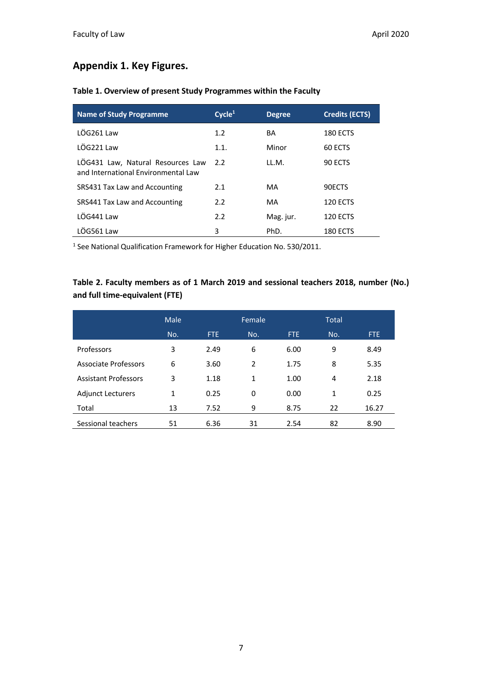#### **Appendix 1. Key Figures.**

| <b>Name of Study Programme</b>                                           | Cycle <sup>1</sup> | <b>Degree</b> | <b>Credits (ECTS)</b> |
|--------------------------------------------------------------------------|--------------------|---------------|-----------------------|
| LÖG261 Law                                                               | 1.2                | BA            | <b>180 ECTS</b>       |
| LÖG221 Law                                                               | 1.1.               | Minor         | 60 ECTS               |
| LOG431 Law, Natural Resources Law<br>and International Environmental Law | $2.2^{\circ}$      | LL.M.         | 90 ECTS               |
| SRS431 Tax Law and Accounting                                            | 2.1                | MA            | 90ECTS                |
| SRS441 Tax Law and Accounting                                            | 2.2                | MA            | <b>120 ECTS</b>       |
| IÖG441 Law                                                               | 2.2                | Mag. jur.     | <b>120 ECTS</b>       |
| LÖG561 Law                                                               | 3                  | PhD.          | <b>180 ECTS</b>       |

#### **Table 1. Overview of present Study Programmes within the Faculty**

<sup>1</sup> See National Qualification Framework for Higher Education No. 530/2011.

#### **Table 2. Faculty members as of 1 March 2019 and sessional teachers 2018, number (No.) and full time-equivalent (FTE)**

|                             | Male |      | Female |      | <b>Total</b> |            |
|-----------------------------|------|------|--------|------|--------------|------------|
|                             | No.  | FTE. | No.    | FTE. | No.          | <b>FTE</b> |
| Professors                  | 3    | 2.49 | 6      | 6.00 | 9            | 8.49       |
| <b>Associate Professors</b> | 6    | 3.60 | 2      | 1.75 | 8            | 5.35       |
| <b>Assistant Professors</b> | 3    | 1.18 | 1      | 1.00 | 4            | 2.18       |
| <b>Adjunct Lecturers</b>    | 1    | 0.25 | 0      | 0.00 | 1            | 0.25       |
| Total                       | 13   | 7.52 | 9      | 8.75 | 22           | 16.27      |
| Sessional teachers          | 51   | 6.36 | 31     | 2.54 | 82           | 8.90       |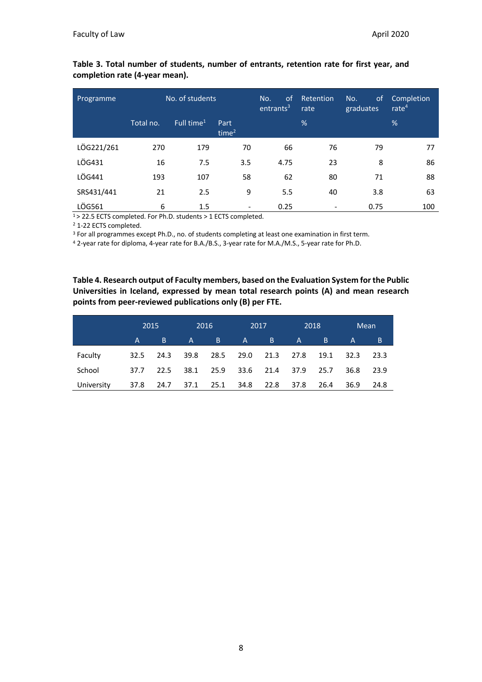| Programme  | No. of students |                        |                           | <sub>of</sub><br>No.<br>entrants <sup>3</sup> | Retention<br>rate | No.<br>οf<br>graduates | Completion<br>rate $4$ |
|------------|-----------------|------------------------|---------------------------|-----------------------------------------------|-------------------|------------------------|------------------------|
|            | Total no.       | Full time <sup>1</sup> | Part<br>time <sup>2</sup> |                                               | %                 |                        | %                      |
| LÖG221/261 | 270             | 179                    | 70                        | 66                                            | 76                | 79                     | 77                     |
| LÖG431     | 16              | 7.5                    | 3.5                       | 4.75                                          | 23                | 8                      | 86                     |
| LÖG441     | 193             | 107                    | 58                        | 62                                            | 80                | 71                     | 88                     |
| SRS431/441 | 21              | 2.5                    | 9                         | 5.5                                           | 40                | 3.8                    | 63                     |
| LÖG561     | 6               | 1.5                    | $\overline{\phantom{a}}$  | 0.25                                          | -                 | 0.75                   | 100                    |

#### **Table 3. Total number of students, number of entrants, retention rate for first year, and completion rate (4-year mean).**

1> 22.5 ECTS completed. For Ph.D. students > 1 ECTS completed.

<sup>2</sup> 1-22 ECTS completed.

<sup>3</sup> For all programmes except Ph.D., no. of students completing at least one examination in first term.

<sup>4</sup> 2-year rate for diploma, 4-year rate for B.A./B.S., 3-year rate for M.A./M.S., 5-year rate for Ph.D.

**Table 4. Research output of Faculty members, based on the Evaluation System for the Public Universities in Iceland, expressed by mean total research points (A) and mean research points from peer-reviewed publications only (B) per FTE.**

|            |          | 2015           |   | 2016                     |      | 2017 |               | 2018 |      | <b>Mean</b> |
|------------|----------|----------------|---|--------------------------|------|------|---------------|------|------|-------------|
|            | $A \sim$ | / B/           | A | -B                       | A    | B.   | $A^{\dagger}$ | - B  | A    | B           |
| Faculty    | 32.5     | 24.3           |   | 39.8 28.5 29.0 21.3 27.8 |      |      |               | 19.1 | 32.3 | 23.3        |
| School     | 37.7     | 22.5           |   | 38.1 25.9 33.6 21.4 37.9 |      |      |               | 25.7 | 36.8 | 23.9        |
| University | 37.8     | 24.7 37.1 25.1 |   |                          | 34.8 | 22.8 | 37.8          | 26.4 | 36.9 | 24.8        |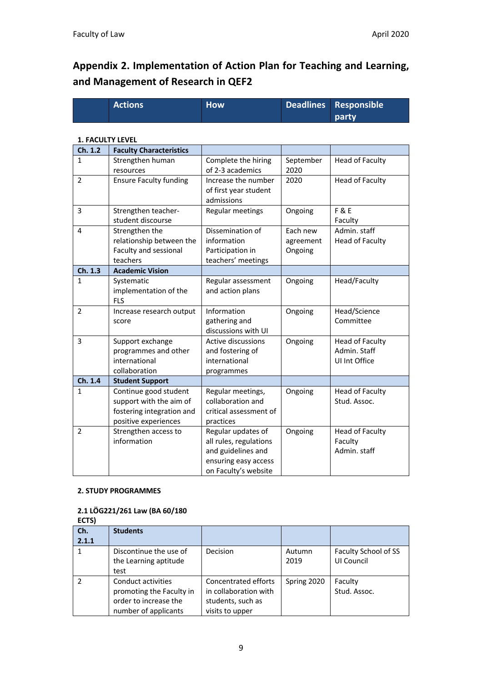## **Appendix 2. Implementation of Action Plan for Teaching and Learning, and Management of Research in QEF2**

| <b>Actions</b> | <b>How</b> | Deadlines Responsible |
|----------------|------------|-----------------------|
|                |            | <b>party</b>          |

#### **1. FACULTY LEVEL**

| Ch. 1.2        | <b>Faculty Characteristics</b> |                           |           |                        |
|----------------|--------------------------------|---------------------------|-----------|------------------------|
| $\mathbf{1}$   | Strengthen human               | Complete the hiring       | September | <b>Head of Faculty</b> |
|                | resources                      | of 2-3 academics          | 2020      |                        |
| $\overline{2}$ | <b>Ensure Faculty funding</b>  | Increase the number       | 2020      | Head of Faculty        |
|                |                                | of first year student     |           |                        |
|                |                                | admissions                |           |                        |
| 3              | Strengthen teacher-            | Regular meetings          | Ongoing   | <b>F&amp;E</b>         |
|                | student discourse              |                           |           | Faculty                |
| 4              | Strengthen the                 | Dissemination of          | Each new  | Admin. staff           |
|                | relationship between the       | information               | agreement | <b>Head of Faculty</b> |
|                | Faculty and sessional          | Participation in          | Ongoing   |                        |
|                | teachers                       | teachers' meetings        |           |                        |
| Ch. 1.3        | <b>Academic Vision</b>         |                           |           |                        |
| $\mathbf{1}$   | Systematic                     | Regular assessment        | Ongoing   | Head/Faculty           |
|                | implementation of the          | and action plans          |           |                        |
|                | <b>FLS</b>                     |                           |           |                        |
| $\overline{2}$ | Increase research output       | Information               | Ongoing   | Head/Science           |
|                | score                          | gathering and             |           | Committee              |
|                |                                | discussions with UI       |           |                        |
| 3              | Support exchange               | <b>Active discussions</b> | Ongoing   | Head of Faculty        |
|                | programmes and other           | and fostering of          |           | Admin. Staff           |
|                | international                  | international             |           | UI Int Office          |
|                | collaboration                  | programmes                |           |                        |
| Ch. 1.4        | <b>Student Support</b>         |                           |           |                        |
| $\mathbf{1}$   | Continue good student          | Regular meetings,         | Ongoing   | <b>Head of Faculty</b> |
|                | support with the aim of        | collaboration and         |           | Stud. Assoc.           |
|                | fostering integration and      | critical assessment of    |           |                        |
|                | positive experiences           | practices                 |           |                        |
| $\overline{2}$ | Strengthen access to           | Regular updates of        | Ongoing   | Head of Faculty        |
|                | information                    | all rules, regulations    |           | Faculty                |
|                |                                | and guidelines and        |           | Admin. staff           |
|                |                                | ensuring easy access      |           |                        |
|                |                                | on Faculty's website      |           |                        |

#### **2. STUDY PROGRAMMES**

#### **2.1 LÖG221/261 Law (BA 60/180**

| ECTS)         |                          |                       |             |                      |
|---------------|--------------------------|-----------------------|-------------|----------------------|
| Ch.           | <b>Students</b>          |                       |             |                      |
| 2.1.1         |                          |                       |             |                      |
|               | Discontinue the use of   | <b>Decision</b>       | Autumn      | Faculty School of SS |
|               | the Learning aptitude    |                       | 2019        | UI Council           |
|               | test                     |                       |             |                      |
| $\mathcal{P}$ | Conduct activities       | Concentrated efforts  | Spring 2020 | Faculty              |
|               | promoting the Faculty in | in collaboration with |             | Stud. Assoc.         |
|               | order to increase the    | students, such as     |             |                      |
|               | number of applicants     | visits to upper       |             |                      |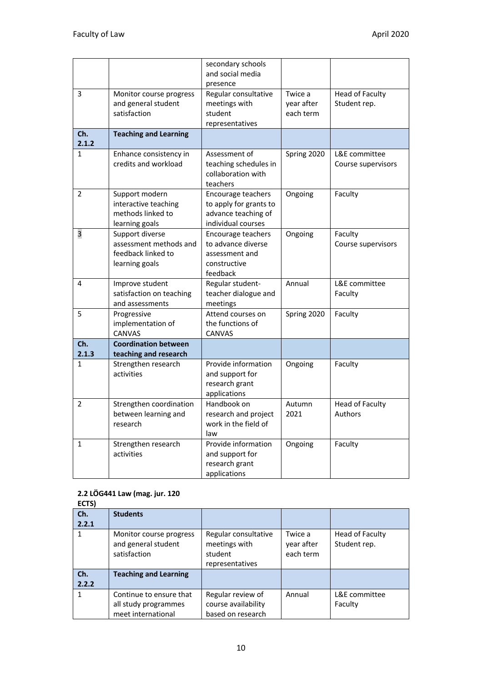|                |                                                                                   | secondary schools<br>and social media<br>presence                                         |                                    |                                          |
|----------------|-----------------------------------------------------------------------------------|-------------------------------------------------------------------------------------------|------------------------------------|------------------------------------------|
| 3              | Monitor course progress<br>and general student<br>satisfaction                    | Regular consultative<br>meetings with<br>student<br>representatives                       | Twice a<br>year after<br>each term | <b>Head of Faculty</b><br>Student rep.   |
| Ch.<br>2.1.2   | <b>Teaching and Learning</b>                                                      |                                                                                           |                                    |                                          |
| $\mathbf{1}$   | Enhance consistency in<br>credits and workload                                    | Assessment of<br>teaching schedules in<br>collaboration with<br>teachers                  | Spring 2020                        | L&E committee<br>Course supervisors      |
| $\overline{2}$ | Support modern<br>interactive teaching<br>methods linked to<br>learning goals     | Encourage teachers<br>to apply for grants to<br>advance teaching of<br>individual courses | Ongoing                            | Faculty                                  |
| 3              | Support diverse<br>assessment methods and<br>feedback linked to<br>learning goals | Encourage teachers<br>to advance diverse<br>assessment and<br>constructive<br>feedback    | Ongoing                            | Faculty<br>Course supervisors            |
| 4              | Improve student<br>satisfaction on teaching<br>and assessments                    | Regular student-<br>teacher dialogue and<br>meetings                                      | Annual                             | L&E committee<br>Faculty                 |
| 5              | Progressive<br>implementation of<br><b>CANVAS</b>                                 | Attend courses on<br>the functions of<br><b>CANVAS</b>                                    | Spring 2020                        | Faculty                                  |
| Ch.<br>2.1.3   | <b>Coordination between</b><br>teaching and research                              |                                                                                           |                                    |                                          |
| 1              | Strengthen research<br>activities                                                 | Provide information<br>and support for<br>research grant<br>applications                  | Ongoing                            | Faculty                                  |
| $\overline{2}$ | Strengthen coordination<br>between learning and<br>research                       | Handbook on<br>research and project<br>work in the field of<br>law                        | Autumn<br>2021                     | <b>Head of Faculty</b><br><b>Authors</b> |
| $\mathbf{1}$   | Strengthen research<br>activities                                                 | Provide information<br>and support for<br>research grant<br>applications                  | Ongoing                            | Faculty                                  |

#### **2.2 LÖG441 Law (mag. jur. 120**

| ECTS) |                              |                      |            |                 |
|-------|------------------------------|----------------------|------------|-----------------|
| Ch.   | <b>Students</b>              |                      |            |                 |
| 2.2.1 |                              |                      |            |                 |
| 1     | Monitor course progress      | Regular consultative | Twice a    | Head of Faculty |
|       | and general student          | meetings with        | year after | Student rep.    |
|       | satisfaction                 | student              | each term  |                 |
|       |                              | representatives      |            |                 |
| Ch.   | <b>Teaching and Learning</b> |                      |            |                 |
| 2.2.2 |                              |                      |            |                 |
| 1     | Continue to ensure that      | Regular review of    | Annual     | L&E committee   |
|       | all study programmes         | course availability  |            | Faculty         |
|       | meet international           | based on research    |            |                 |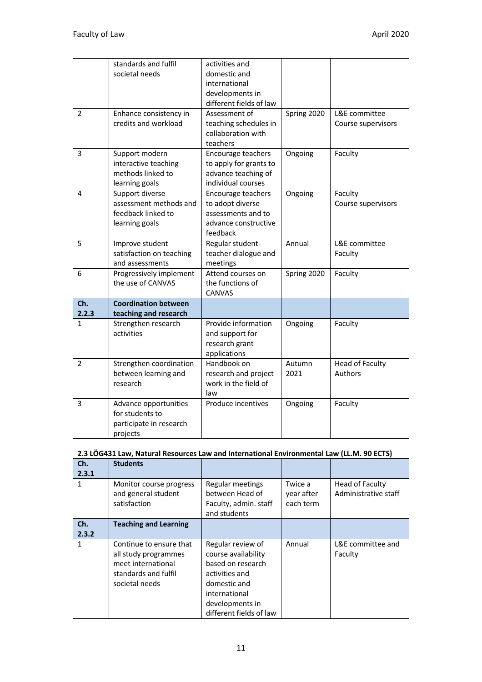|                | standards and fulfil        | activities and          |             |                        |
|----------------|-----------------------------|-------------------------|-------------|------------------------|
|                | societal needs              | domestic and            |             |                        |
|                |                             | international           |             |                        |
|                |                             | developments in         |             |                        |
|                |                             | different fields of law |             |                        |
| 2              | Enhance consistency in      | Assessment of           | Spring 2020 | L&E committee          |
|                | credits and workload        | teaching schedules in   |             | Course supervisors     |
|                |                             | collaboration with      |             |                        |
|                |                             | teachers                |             |                        |
| 3              | Support modern              | Encourage teachers      | Ongoing     | Faculty                |
|                | interactive teaching        | to apply for grants to  |             |                        |
|                | methods linked to           | advance teaching of     |             |                        |
|                | learning goals              | individual courses      |             |                        |
| 4              | Support diverse             | Encourage teachers      | Ongoing     | Faculty                |
|                | assessment methods and      | to adopt diverse        |             | Course supervisors     |
|                | feedback linked to          | assessments and to      |             |                        |
|                | learning goals              | advance constructive    |             |                        |
|                |                             | feedback                |             |                        |
| 5              | Improve student             | Regular student-        | Annual      | L&E committee          |
|                | satisfaction on teaching    | teacher dialogue and    |             | Faculty                |
|                | and assessments             | meetings                |             |                        |
| 6              | Progressively implement     | Attend courses on       | Spring 2020 | Faculty                |
|                | the use of CANVAS           | the functions of        |             |                        |
|                |                             | <b>CANVAS</b>           |             |                        |
| Ch.            | <b>Coordination between</b> |                         |             |                        |
| 2.2.3          | teaching and research       |                         |             |                        |
| 1              | Strengthen research         | Provide information     | Ongoing     | Faculty                |
|                | activities                  | and support for         |             |                        |
|                |                             | research grant          |             |                        |
|                |                             | applications            |             |                        |
| $\overline{2}$ | Strengthen coordination     | Handbook on             | Autumn      | <b>Head of Faculty</b> |
|                | between learning and        | research and project    | 2021        | Authors                |
|                | research                    | work in the field of    |             |                        |
|                |                             | law                     |             |                        |
| 3              | Advance opportunities       | Produce incentives      | Ongoing     | Faculty                |
|                | for students to             |                         |             |                        |
|                | participate in research     |                         |             |                        |
|                | projects                    |                         |             |                        |

#### **2.3 LÖG431 Law, Natural Resources Law and International Environmental Law (LL.M. 90 ECTS)**

| Ch.<br>2.3.1 | <b>Students</b>                                                                                                 |                                                                                                                                                                |                                    |                                         |
|--------------|-----------------------------------------------------------------------------------------------------------------|----------------------------------------------------------------------------------------------------------------------------------------------------------------|------------------------------------|-----------------------------------------|
|              | Monitor course progress<br>and general student<br>satisfaction                                                  | Regular meetings<br>between Head of<br>Faculty, admin. staff<br>and students                                                                                   | Twice a<br>year after<br>each term | Head of Faculty<br>Administrative staff |
| Ch.<br>2.3.2 | <b>Teaching and Learning</b>                                                                                    |                                                                                                                                                                |                                    |                                         |
|              | Continue to ensure that<br>all study programmes<br>meet international<br>standards and fulfil<br>societal needs | Regular review of<br>course availability<br>based on research<br>activities and<br>domestic and<br>international<br>developments in<br>different fields of law | Annual                             | L&E committee and<br>Faculty            |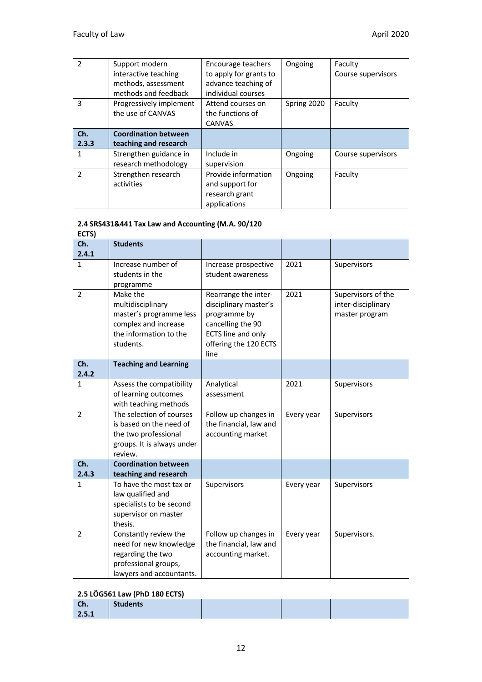| $\mathcal{P}$ | Support modern<br>interactive teaching<br>methods, assessment<br>methods and feedback | Encourage teachers<br>to apply for grants to<br>advance teaching of<br>individual courses | Ongoing     | Faculty<br>Course supervisors |
|---------------|---------------------------------------------------------------------------------------|-------------------------------------------------------------------------------------------|-------------|-------------------------------|
| 3             | Progressively implement<br>the use of CANVAS                                          | Attend courses on<br>the functions of<br><b>CANVAS</b>                                    | Spring 2020 | Faculty                       |
| Ch.<br>2.3.3  | <b>Coordination between</b><br>teaching and research                                  |                                                                                           |             |                               |
| 1             | Strengthen guidance in<br>research methodology                                        | Include in<br>supervision                                                                 | Ongoing     | Course supervisors            |
| $\mathcal{P}$ | Strengthen research<br>activities                                                     | Provide information<br>and support for<br>research grant<br>applications                  | Ongoing     | Faculty                       |

#### **2.4 SRS431&441 Tax Law and Accounting (M.A. 90/120**

**ECTS) Ch. 2.4.1 Students**  1 Increase number of students in the programme Increase prospective student awareness 2021 Supervisors 2 Make the multidisciplinary master's programme less complex and increase the information to the students. Rearrange the interdisciplinary master's programme by cancelling the 90 ECTS line and only offering the 120 ECTS line 2021 Supervisors of the inter-disciplinary master program **Ch. 2.4.2 Teaching and Learning** 1 Assess the compatibility of learning outcomes with teaching methods Analytical assessment 2021 Supervisors 2 **The selection of courses** is based on the need of the two professional groups. It is always under review. Follow up changes in the financial, law and accounting market Every year  $\vert$  Supervisors **Ch. 2.4.3 Coordination between teaching and research** 1 To have the most tax or law qualified and specialists to be second supervisor on master thesis. Supervisors | Every year Supervisors 2 Constantly review the need for new knowledge regarding the two professional groups, lawyers and accountants. Follow up changes in the financial, law and accounting market. Every year  $\vert$  Supervisors.

#### **2.5 LÖG561 Law (PhD 180 ECTS)**

| $\sim$<br>$\overline{\phantom{a}}$ | <b>Students</b> |  |  |
|------------------------------------|-----------------|--|--|
| 2.5.1                              |                 |  |  |